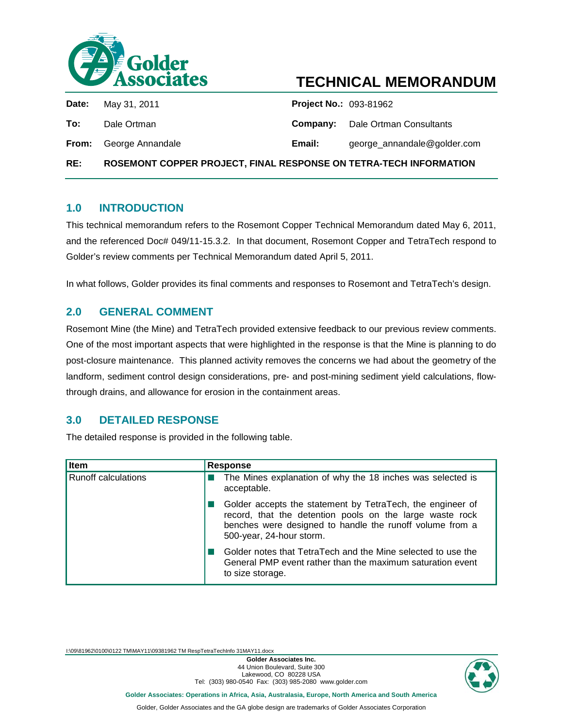

# <span id="page-0-3"></span><span id="page-0-2"></span>**TECHNICAL MEMORANDUM**

<span id="page-0-1"></span><span id="page-0-0"></span>

| RE:   | ROSEMONT COPPER PROJECT, FINAL RESPONSE ON TETRA-TECH INFORMATION |                               |                                         |
|-------|-------------------------------------------------------------------|-------------------------------|-----------------------------------------|
|       | <b>From:</b> George Annandale                                     | Email:                        | george_annandale@golder.com             |
| To:   | Dale Ortman                                                       |                               | <b>Company:</b> Dale Ortman Consultants |
| Date: | May 31, 2011                                                      | <b>Project No.: 093-81962</b> |                                         |

#### **1.0 INTRODUCTION**

This technical memorandum refers to the Rosemont Copper Technical Memorandum dated May 6, 2011, and the referenced Doc# 049/11-15.3.2. In that document, Rosemont Copper and TetraTech respond to Golder's review comments per Technical Memorandum dated April 5, 2011.

In what follows, Golder provides its final comments and responses to Rosemont and TetraTech's design.

### **2.0 GENERAL COMMENT**

Rosemont Mine (the Mine) and TetraTech provided extensive feedback to our previous review comments. One of the most important aspects that were highlighted in the response is that the Mine is planning to do post-closure maintenance. This planned activity removes the concerns we had about the geometry of the landform, sediment control design considerations, pre- and post-mining sediment yield calculations, flowthrough drains, and allowance for erosion in the containment areas.

### **3.0 DETAILED RESPONSE**

The detailed response is provided in the following table.

| Item                       | <b>Response</b>                                                                                                                                                                                                |
|----------------------------|----------------------------------------------------------------------------------------------------------------------------------------------------------------------------------------------------------------|
| <b>Runoff calculations</b> | The Mines explanation of why the 18 inches was selected is<br>acceptable.                                                                                                                                      |
|                            | Golder accepts the statement by TetraTech, the engineer of<br>record, that the detention pools on the large waste rock<br>benches were designed to handle the runoff volume from a<br>500-year, 24-hour storm. |
|                            | Golder notes that TetraTech and the Mine selected to use the<br>General PMP event rather than the maximum saturation event<br>to size storage.                                                                 |

I:\09\81962\0100\0122 TM\MAY11\09381962 TM RespTetraTechInfo 31MAY11.docx

**Golder Associates Inc.** 44 Union Boulevard, Suite 300 Lakewood, CO 80228 USA Tel: (303) 980-0540 Fax: (303) 985-2080 www.golder.com



**Golder Associates: Operations in Africa, Asia, Australasia, Europe, North America and South America**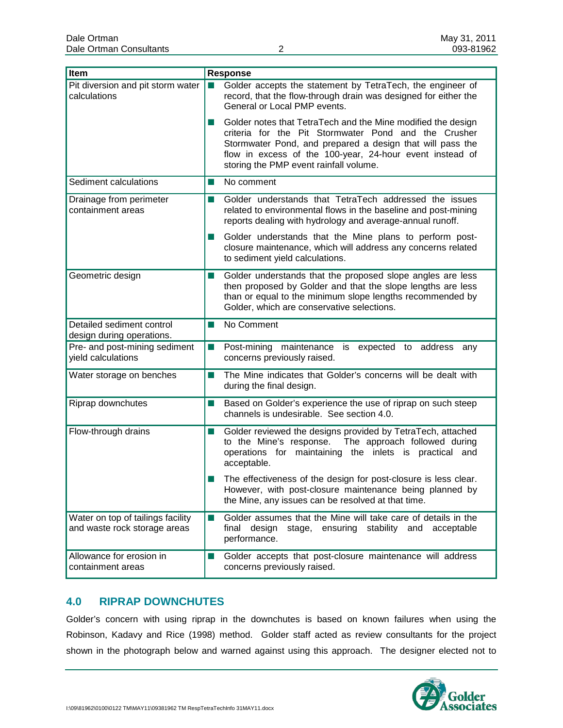| Item                                                              | <b>Response</b>                                                                                                                                                                                                                                                                         |  |  |
|-------------------------------------------------------------------|-----------------------------------------------------------------------------------------------------------------------------------------------------------------------------------------------------------------------------------------------------------------------------------------|--|--|
| Pit diversion and pit storm water<br>calculations                 | Golder accepts the statement by TetraTech, the engineer of<br>record, that the flow-through drain was designed for either the<br>General or Local PMP events.                                                                                                                           |  |  |
|                                                                   | Golder notes that TetraTech and the Mine modified the design<br>criteria for the Pit Stormwater Pond and the Crusher<br>Stormwater Pond, and prepared a design that will pass the<br>flow in excess of the 100-year, 24-hour event instead of<br>storing the PMP event rainfall volume. |  |  |
| Sediment calculations                                             | No comment<br>a se                                                                                                                                                                                                                                                                      |  |  |
| Drainage from perimeter<br>containment areas                      | Golder understands that TetraTech addressed the issues<br>ш<br>related to environmental flows in the baseline and post-mining<br>reports dealing with hydrology and average-annual runoff.                                                                                              |  |  |
|                                                                   | Golder understands that the Mine plans to perform post-<br>closure maintenance, which will address any concerns related<br>to sediment yield calculations.                                                                                                                              |  |  |
| Geometric design                                                  | Golder understands that the proposed slope angles are less<br>ш<br>then proposed by Golder and that the slope lengths are less<br>than or equal to the minimum slope lengths recommended by<br>Golder, which are conservative selections.                                               |  |  |
| Detailed sediment control<br>design during operations.            | No Comment<br>ш                                                                                                                                                                                                                                                                         |  |  |
| Pre- and post-mining sediment<br>yield calculations               | Post-mining maintenance is expected to address any<br>ш<br>concerns previously raised.                                                                                                                                                                                                  |  |  |
| Water storage on benches                                          | The Mine indicates that Golder's concerns will be dealt with<br>$\sim$<br>during the final design.                                                                                                                                                                                      |  |  |
| Riprap downchutes                                                 | Based on Golder's experience the use of riprap on such steep<br>Ш<br>channels is undesirable. See section 4.0.                                                                                                                                                                          |  |  |
| Flow-through drains                                               | Golder reviewed the designs provided by TetraTech, attached<br>$\Box$<br>The approach followed during<br>to the Mine's response.<br>operations for maintaining the inlets is practical<br>and<br>acceptable.                                                                            |  |  |
|                                                                   | The effectiveness of the design for post-closure is less clear.<br>However, with post-closure maintenance being planned by<br>the Mine, any issues can be resolved at that time.                                                                                                        |  |  |
| Water on top of tailings facility<br>and waste rock storage areas | Golder assumes that the Mine will take care of details in the<br>H.<br>final design stage, ensuring stability and<br>acceptable<br>performance.                                                                                                                                         |  |  |
| Allowance for erosion in<br>containment areas                     | Golder accepts that post-closure maintenance will address<br>ш<br>concerns previously raised.                                                                                                                                                                                           |  |  |

### **4.0 RIPRAP DOWNCHUTES**

Golder's concern with using riprap in the downchutes is based on known failures when using the Robinson, Kadavy and Rice (1998) method. Golder staff acted as review consultants for the project shown in the photograph below and warned against using this approach. The designer elected not to